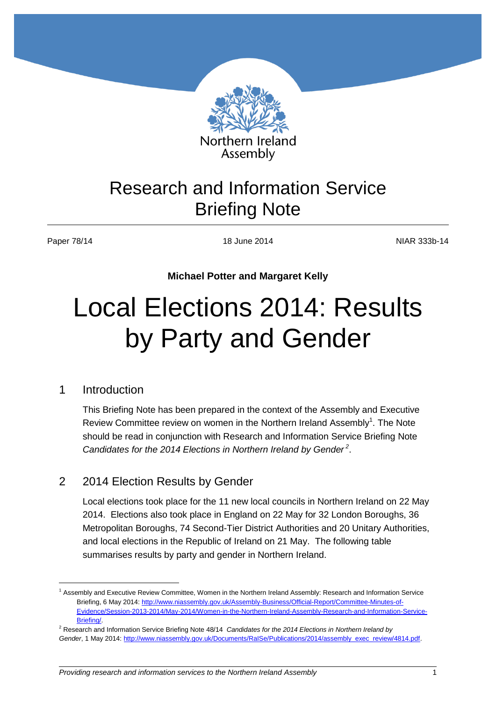

## Research and Information Service Briefing Note

 $\overline{a}$ 

Paper 78/14 **NIAR 333b-14** 18 June 2014 **NIAR 333b-14** 

**Michael Potter and Margaret Kelly**

## Local Elections 2014: Results by Party and Gender

## 1 Introduction

This Briefing Note has been prepared in the context of the Assembly and Executive Review Committee review on women in the Northern Ireland Assembly<sup>1</sup>. The Note should be read in conjunction with Research and Information Service Briefing Note Candidates for the 2014 Elections in Northern Ireland by Gender<sup>2</sup>.

## 2 2014 Election Results by Gender

Local elections took place for the 11 new local councils in Northern Ireland on 22 May 2014. Elections also took place in England on 22 May for 32 London Boroughs, 36 Metropolitan Boroughs, 74 Second-Tier District Authorities and 20 Unitary Authorities, and local elections in the Republic of Ireland on 21 May. The following table summarises results by party and gender in Northern Ireland.

<sup>1</sup> Assembly and Executive Review Committee, Women in the Northern Ireland Assembly: Research and Information Service Briefing, 6 May 2014: [http://www.niassembly.gov.uk/Assembly-Business/Official-Report/Committee-Minutes-of-](http://www.niassembly.gov.uk/Assembly-Business/Official-Report/Committee-Minutes-of-Evidence/Session-2013-2014/May-2014/Women-in-the-Northern-Ireland-Assembly-Research-and-Information-Service-Briefing/)[Evidence/Session-2013-2014/May-2014/Women-in-the-Northern-Ireland-Assembly-Research-and-Information-Service-](http://www.niassembly.gov.uk/Assembly-Business/Official-Report/Committee-Minutes-of-Evidence/Session-2013-2014/May-2014/Women-in-the-Northern-Ireland-Assembly-Research-and-Information-Service-Briefing/)[Briefing/.](http://www.niassembly.gov.uk/Assembly-Business/Official-Report/Committee-Minutes-of-Evidence/Session-2013-2014/May-2014/Women-in-the-Northern-Ireland-Assembly-Research-and-Information-Service-Briefing/) 

<sup>2</sup> Research and Information Service Briefing Note 48/14 *Candidates for the 2014 Elections in Northern Ireland by Gender*, 1 May 2014[: http://www.niassembly.gov.uk/Documents/RaISe/Publications/2014/assembly\\_exec\\_review/4814.pdf.](http://www.niassembly.gov.uk/Documents/RaISe/Publications/2014/assembly_exec_review/4814.pdf)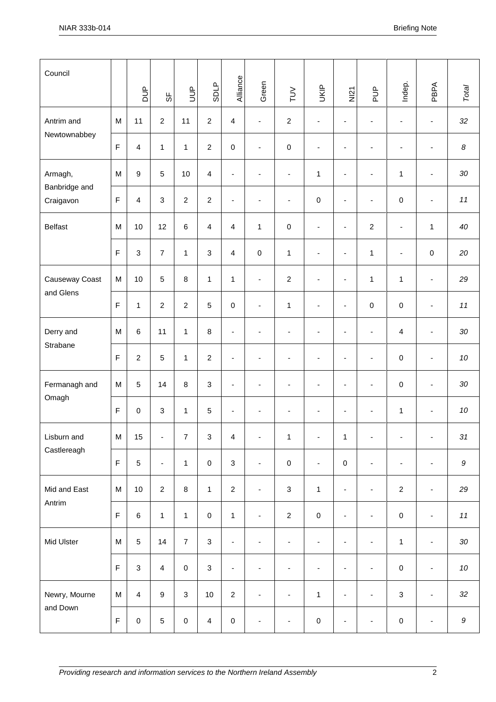| Council                               |                         | $\frac{p}{D}$  | ჭ                        | <b>AUD</b>       | <b>SDLP</b>         | Alliance                 | Green                    | $\geq$                   | UKIP                     | $rac{5}{2}$              | $\frac{p}{D}$                | Indep.                   | PBPA                     | Total            |
|---------------------------------------|-------------------------|----------------|--------------------------|------------------|---------------------|--------------------------|--------------------------|--------------------------|--------------------------|--------------------------|------------------------------|--------------------------|--------------------------|------------------|
| Antrim and<br>Newtownabbey            | M                       | 11             | $\overline{2}$           | 11               | $\overline{2}$      | $\overline{\mathbf{4}}$  | $\blacksquare$           | $\boldsymbol{2}$         | $\overline{\phantom{a}}$ | $\blacksquare$           | ÷,                           | $\blacksquare$           | $\overline{\phantom{a}}$ | 32               |
|                                       | $\overline{\mathsf{F}}$ | $\overline{4}$ | $\mathbf{1}$             | $\mathbf{1}$     | $\overline{2}$      | $\pmb{0}$                | $\overline{\phantom{a}}$ | $\pmb{0}$                | $\overline{\phantom{a}}$ | $\blacksquare$           | $\overline{\phantom{a}}$     | $\blacksquare$           | $\blacksquare$           | $\boldsymbol{8}$ |
| Armagh,<br>Banbridge and<br>Craigavon | M                       | $\overline{9}$ | 5                        | 10               | $\overline{4}$      | $\blacksquare$           | $\blacksquare$           | $\blacksquare$           | $\mathbf{1}$             | $\blacksquare$           | $\overline{\phantom{a}}$     | $\mathbf{1}$             | $\overline{\phantom{a}}$ | 30               |
|                                       | $\mathsf F$             | $\overline{4}$ | $\mathbf{3}$             | $\overline{2}$   | $\overline{2}$      | $\blacksquare$           | $\overline{\phantom{a}}$ | $\overline{\phantom{a}}$ | $\pmb{0}$                | $\overline{\phantom{a}}$ | $\blacksquare$               | 0                        | $\overline{\phantom{a}}$ | $11$             |
| <b>Belfast</b>                        | ${\sf M}$               | 10             | 12                       | 6                | $\overline{4}$      | $\overline{4}$           | 1                        | $\pmb{0}$                | $\overline{\phantom{a}}$ | $\blacksquare$           | $\boldsymbol{2}$             | $\overline{\phantom{a}}$ | $\mathbf{1}$             | 40               |
|                                       | $\overline{\mathsf{F}}$ | $\mathbf{3}$   | $\overline{7}$           | $\mathbf{1}$     | 3                   | $\overline{4}$           | $\pmb{0}$                | 1                        | $\blacksquare$           | $\blacksquare$           | $\mathbf{1}$                 | $\blacksquare$           | $\pmb{0}$                | 20               |
| Causeway Coast<br>and Glens           | M                       | 10             | $\sqrt{5}$               | $\,8\,$          | $\mathbf{1}$        | $\mathbf{1}$             | $\blacksquare$           | $\overline{c}$           | $\blacksquare$           | $\blacksquare$           | $\mathbf{1}$                 | $\mathbf{1}$             | $\blacksquare$           | 29               |
|                                       | $\mathsf F$             | $\mathbf{1}$   | $\overline{2}$           | $\overline{2}$   | $\overline{5}$      | $\mathbf 0$              | $\blacksquare$           | $\mathbf{1}$             | $\overline{\phantom{a}}$ | $\blacksquare$           | 0                            | $\pmb{0}$                | $\overline{\phantom{a}}$ | $11$             |
| Derry and<br>Strabane                 | M                       | $\,6\,$        | 11                       | $\mathbf{1}$     | 8                   | $\overline{\phantom{a}}$ | $\blacksquare$           | $\overline{\phantom{a}}$ | $\overline{\phantom{a}}$ | $\overline{\phantom{a}}$ | $\blacksquare$               | 4                        | $\overline{\phantom{a}}$ | 30               |
|                                       | $\overline{\mathsf{F}}$ | $\overline{2}$ | $\,$ 5 $\,$              | $\mathbf{1}$     | $\overline{2}$      | $\blacksquare$           | $\blacksquare$           | ä,                       | ä,                       | $\blacksquare$           | $\blacksquare$               | $\pmb{0}$                | ä,                       | 10               |
| Fermanagh and<br>Omagh                | M                       | $\overline{5}$ | 14                       | 8                | 3                   | $\blacksquare$           | $\blacksquare$           | $\blacksquare$           | $\blacksquare$           | $\blacksquare$           | $\blacksquare$               | $\pmb{0}$                | $\blacksquare$           | 30               |
|                                       | $\mathsf F$             | $\pmb{0}$      | $\mathsf 3$              | $\mathbf{1}$     | $\overline{5}$      | $\blacksquare$           | $\overline{\phantom{a}}$ | $\overline{\phantom{a}}$ | $\overline{\phantom{a}}$ | $\overline{\phantom{a}}$ | $\overline{\phantom{a}}$     | $\mathbf{1}$             | $\overline{\phantom{a}}$ | 10               |
| Lisburn and<br>Castlereagh            | M                       | 15             | $\blacksquare$           | $\boldsymbol{7}$ | $\mathbf{3}$        | 4                        | $\blacksquare$           | $\mathbf{1}$             | $\blacksquare$           | $\mathbf{1}$             |                              | ä,                       | $\overline{\phantom{a}}$ | $31\,$           |
|                                       | $\mathsf F$             | $\sqrt{5}$     | $\overline{\phantom{a}}$ | $\mathbf{1}$     | $\mathsf{O}\xspace$ | $\mathbf{3}$             | $\blacksquare$           | $\mathbf 0$              | $\overline{\phantom{a}}$ | $\pmb{0}$                | $\blacksquare$               | $\overline{\phantom{a}}$ | $\blacksquare$           | $\boldsymbol{9}$ |
| Mid and East<br>Antrim                | ${\sf M}$               | $10$           | $\overline{2}$           | $\bf 8$          | $\mathbf{1}$        | $\overline{2}$           | $\blacksquare$           | $\mathbf{3}$             | $\mathbf{1}$             | $\blacksquare$           | $\blacksquare$               | $\overline{2}$           | $\blacksquare$           | 29               |
|                                       | $\mathsf F$             | $\,6\,$        | $\mathbf{1}$             | $\mathbf{1}$     | $\mathbf 0$         | $\mathbf{1}$             | $\blacksquare$           | $\overline{2}$           | $\pmb{0}$                | $\blacksquare$           | $\overline{\phantom{a}}$     | $\pmb{0}$                | $\blacksquare$           | $11$             |
| Mid Ulster                            | ${\sf M}$               | $\sqrt{5}$     | 14                       | $\overline{7}$   | $\mathbf{3}$        | $\blacksquare$           | $\overline{\phantom{a}}$ | $\overline{\phantom{a}}$ | $\overline{\phantom{a}}$ | $\blacksquare$           | $\overline{\phantom{a}}$     | $\mathbf{1}$             | $\blacksquare$           | 30               |
|                                       | $\overline{\mathsf{F}}$ | $\mathbf{3}$   | $\overline{4}$           | $\pmb{0}$        | $\mathbf{3}$        | $\overline{\phantom{a}}$ | $\blacksquare$           | $\blacksquare$           | $\blacksquare$           | $\overline{\phantom{a}}$ | $\blacksquare$               | $\pmb{0}$                | $\overline{\phantom{a}}$ | 10               |
| Newry, Mourne<br>and Down             | ${\sf M}$               | $\overline{4}$ | $\boldsymbol{9}$         | $\mathbf{3}$     | 10                  | $\overline{2}$           | $\blacksquare$           | $\blacksquare$           | $\mathbf{1}$             | $\overline{\phantom{a}}$ | $\overline{\phantom{a}}$     | $\mathbf{3}$             | $\blacksquare$           | 32               |
|                                       | $\mathsf F$             | $\pmb{0}$      | $\sqrt{5}$               | $\pmb{0}$        | $\overline{4}$      | $\mathbf 0$              | $\overline{\phantom{a}}$ | $\blacksquare$           | $\mathsf 0$              | $\blacksquare$           | $\qquad \qquad \blacksquare$ | $\pmb{0}$                | $\overline{\phantom{a}}$ | $\boldsymbol{9}$ |